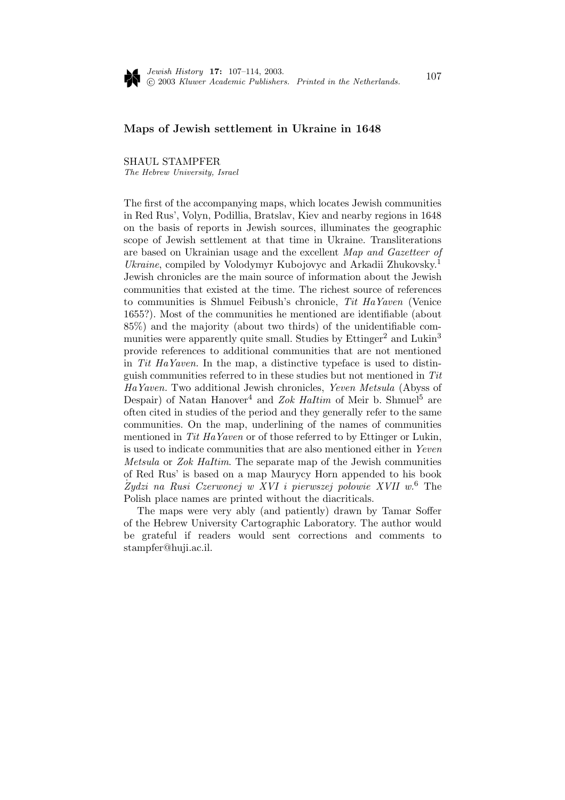

# **Maps of Jewish settlement in Ukraine in 1648**

## SHAUL STAMPFER

The Hebrew University, Israel

The first of the accompanying maps, which locates Jewish communities in Red Rus', Volyn, Podillia, Bratslav, Kiev and nearby regions in 1648 on the basis of reports in Jewish sources, illuminates the geographic scope of Jewish settlement at that time in Ukraine. Transliterations are based on Ukrainian usage and the excellent Map and Gazetteer of Ukraine, compiled by Volodymyr Kubojovyc and Arkadii Zhukovsky.<sup>1</sup> Jewish chronicles are the main source of information about the Jewish communities that existed at the time. The richest source of references to communities is Shmuel Feibush's chronicle, Tit HaYaven (Venice 1655?). Most of the communities he mentioned are identifiable (about 85%) and the majority (about two thirds) of the unidentifiable communities were apparently quite small. Studies by  $\text{Ettinger}^2$  and  $\text{Lukin}^3$ provide references to additional communities that are not mentioned in Tit HaYaven. In the map, a distinctive typeface is used to distinguish communities referred to in these studies but not mentioned in Tit HaYaven. Two additional Jewish chronicles, Yeven Metsula (Abyss of Despair) of Natan Hanover<sup>4</sup> and Zok Haltim of Meir b. Shmuel<sup>5</sup> are often cited in studies of the period and they generally refer to the same communities. On the map, underlining of the names of communities mentioned in Tit HaYaven or of those referred to by Ettinger or Lukin, is used to indicate communities that are also mentioned either in Yeven Metsula or Zok HaItim. The separate map of the Jewish communities of Red Rus' is based on a map Maurycy Horn appended to his book Żydzi na Rusi Czerwonej w XVI i pierwszej połowie XVII w.<sup>6</sup> The Polish place names are printed without the diacriticals.

The maps were very ably (and patiently) drawn by Tamar Soffer of the HebrewUniversity Cartographic Laboratory. The author would be grateful if readers would sent corrections and comments to stampfer@huji.ac.il.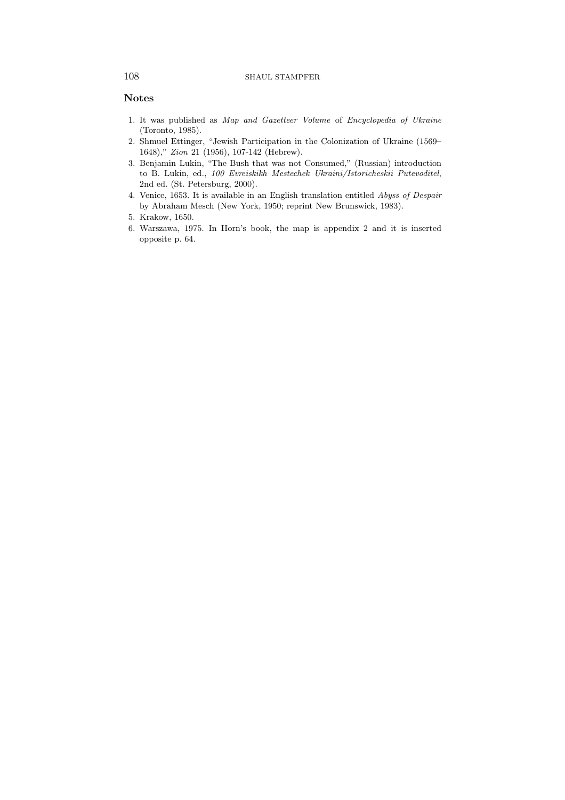### 108 SHAUL STAMPFER

# **Notes**

- 1. It was published as Map and Gazetteer Volume of Encyclopedia of Ukraine (Toronto, 1985).
- 2. Shmuel Ettinger, "Jewish Participation in the Colonization of Ukraine (1569– 1648)," Zion 21 (1956), 107-142 (Hebrew).
- 3. Benjamin Lukin, "The Bush that was not Consumed," (Russian) introduction to B. Lukin, ed., 100 Evreiskikh Mestechek Ukraini/Istoricheskii Putevoditel, 2nd ed. (St. Petersburg, 2000).
- 4. Venice, 1653. It is available in an English translation entitled Abyss of Despair by Abraham Mesch (New York, 1950; reprint New Brunswick, 1983).
- 5. Krakow, 1650.
- 6. Warszawa, 1975. In Horn's book, the map is appendix 2 and it is inserted opposite p. 64.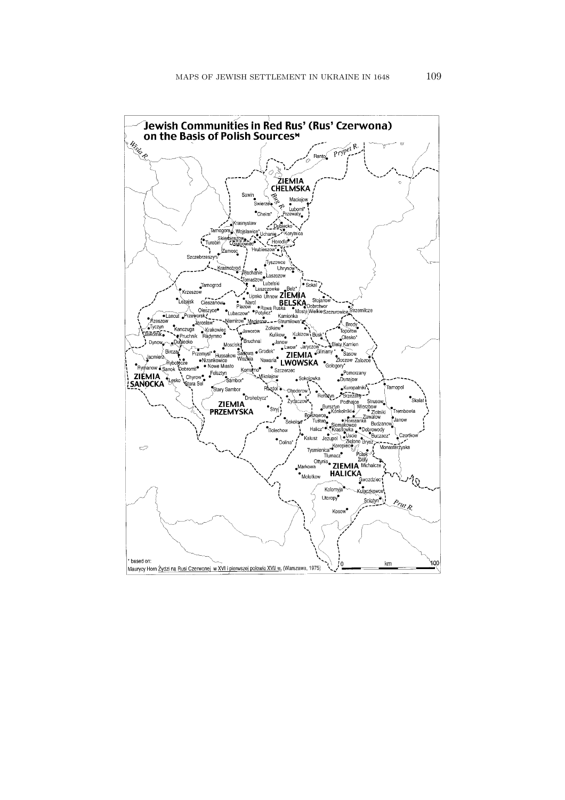